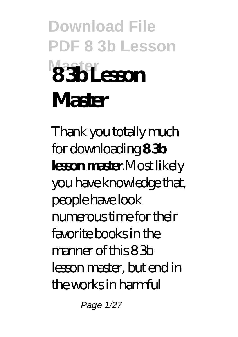# **Download File PDF 8 3b Lesson Master 8 3b Lesson Master**

Thank you totally much for downloading **8 3b lesson master**.Most likely you have knowledge that, people have look numerous time for their favorite books in the manner of this 8 3b lesson master, but end in the works in harmful

Page 1/27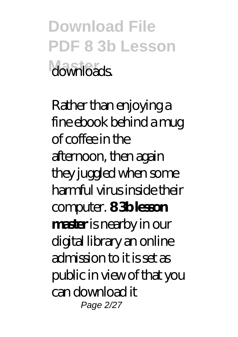**Download File PDF 8 3b Lesson Master** downloads.

Rather than enjoying a fine ebook behind a mug of coffee in the afternoon, then again they juggled when some harmful virus inside their computer. **8 3b lesson master** is nearby in our digital library an online admission to it is set as public in view of that you can download it Page 2/27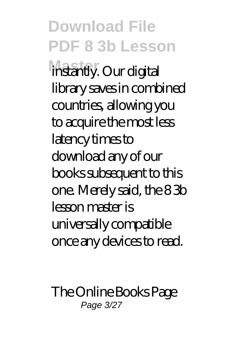**Download File PDF 8 3b Lesson instantly. Our digital** library saves in combined countries, allowing you to acquire the most less latency times to download any of our books subsequent to this one. Merely said, the 8 3b lesson master is universally compatible once any devices to read.

The Online Books Page Page 3/27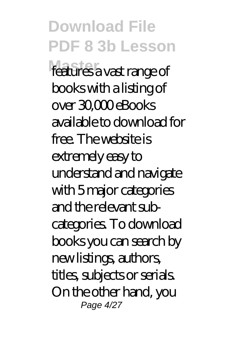**Download File PDF 8 3b Lesson** features a vast range of books with a listing of over 30,000 eBooks available to download for free. The website is extremely easy to understand and navigate with 5 major categories and the relevant subcategories. To download books you can search by new listings, authors, titles, subjects or serials. On the other hand, you Page 4/27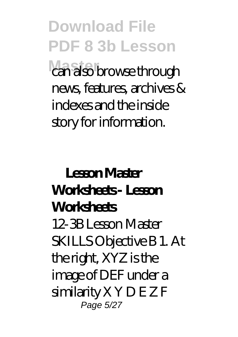**Download File PDF 8 3b Lesson** can also browse through news, features, archives & indexes and the inside story for information.

### **Lesson Master Worksheets - Lesson Worksheets** 12-3B Lesson Master SKILLS Objective B 1. At the right, XYZ is the image of DEF under a similarity X Y D E Z F Page 5/27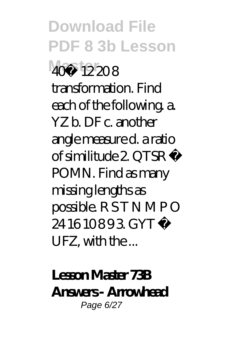**Download File PDF 8 3b Lesson Master** 40˚ 12 20 8 transformation. Find each of the following. a. YZ b. DF c. another angle measure d. a ratio of similitude 2. QTSR ∼ POMN. Find as many missing lengths as possible. R S T N M P O 24 16 10893 GYT UFZ, with the ...

**Lesson Master 73B Answers - Arrowhead** Page 6/27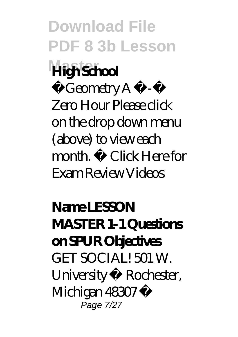**Download File PDF 8 3b Lesson**

### **Master High School**

 $G$ eometry  $A$ Zero Hour Please click on the drop down menu (above) to view each month. Click Here for Exam Review Videos

**Name LESSON MASTER 1-1 Questions on SPUR Objectives** GET SOCIAL! 501 W. University • Rochester, Michigan 48307 • Page 7/27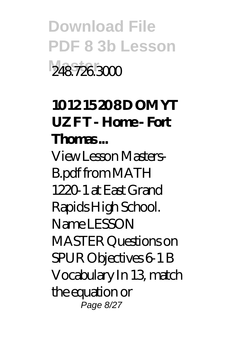**Download File PDF 8 3b Lesson Master** 248.726.3000

### **10 12 15 20 8 D OM YT UZ F T - Home - Fort Thomas ...**

View Lesson Masters-B.pdf from MATH 1220-1 at East Grand Rapids High School. Name LESSON MASTER Questions on SPUR Objectives 6-1 B Vocabulary In 13, match the equation or Page 8/27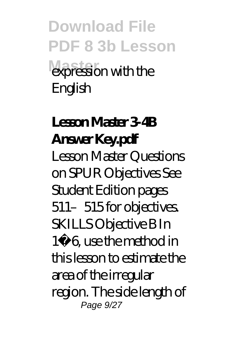**Download File PDF 8 3b Lesson** expression with the English

**Lesson Master 3-4B Answer Key.pdf** Lesson Master Questions on SPUR Objectives See Student Edition pages 511-515 for objectives. SKILLS Objective B In 1−6, use the method in this lesson to estimate the area of the irregular region. The side length of Page 9/27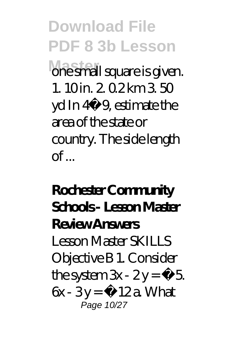**Download File PDF 8 3b Lesson Master** one small square is given. 1. 10 in. 2. 0.2 km 3. 50 yd In 4−9, estimate the area of the state or country. The side length  $\alpha$ f

**Rochester Community Schools - Lesson Master Review Answers** Lesson Master SKILLS Objective B 1. Consider the system  $3x - 2y = -5$ .  $6x - 3y = -12a$  What Page 10/27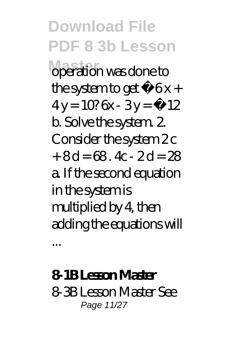**Download File PDF 8 3b Lesson Master** operation was done to the system to get –  $6x +$  $4v = 10$ ? 6x - 3 $v = -12$ b. Solve the system. 2. Consider the system 2c  $+8d = 68$ . 4c - 2d = 28 a. If the second equation in the system is multiplied by 4, then adding the equations will

**8-1B Lesson Master** 8-3B Lesson Master See Page 11/27

...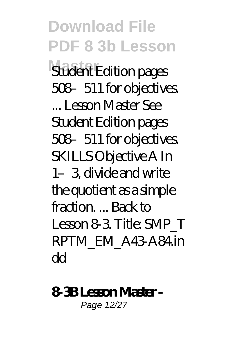**Download File PDF 8 3b Lesson Student Edition pages** 508–511 for objectives. ... Lesson Master See Student Edition pages 508–511 for objectives. SKILLS Objective A In 1–3, divide and write the quotient as a simple fraction. ... Back to Lesson 8-3. Title: SMP\_T RPTM\_EM\_A43-A84.in dd

#### **8-3B Lesson Master -**

Page 12/27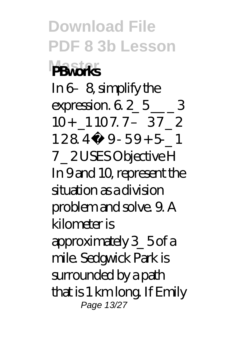**Download File PDF 8 3b Lesson Master PBworks** In 6–8 simplify the expression.  $6.2\quad 5 \qquad 3$  $10 + 11077 - 3722$  $1284 \cdot 9 - 59 + 51$ 7 \_ 2 USES Objective H In 9 and 10, represent the situation as a division problem and solve. 9. A kilometer is approximately 3\_ 5 of a mile. Sedgwick Park is surrounded by a path that is 1 km long. If Emily Page 13/27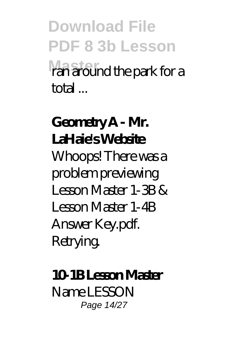**Download File PDF 8 3b Lesson Master** ran around the park for a total ...

**Geometry A - Mr. LaHaie's Website** Whoops! There was a problem previewing Lesson Master 1-3B  $\&$ Lesson Master 1-4B Answer Key.pdf. Retrying.

**10-1B Lesson Master** Name LESSON Page 14/27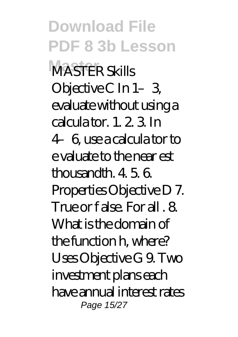**Download File PDF 8 3b Lesson Master** MASTER Skills Objective C In 1-3 evaluate without using a calcula tor. 1. 2. 3. In 4–6, use a calcula tor to e valuate to the near est thousandth. 4. 5. 6. Properties Objective D 7. True or f alse. For all . 8. What is the domain of the function h, where? Uses Objective G 9. Two investment plans each have annual interest rates Page 15/27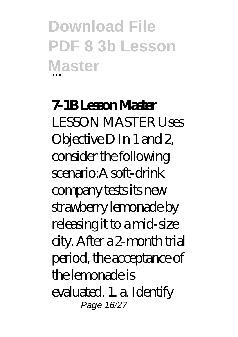**Download File PDF 8 3b Lesson Master** ...

**7-1B Lesson Master** LESSON MASTER Uses Objective D In 1 and 2, consider the following scenario:A soft-drink company tests its new strawberry lemonade by releasing it to a mid-size city. After a 2-month trial period, the acceptance of the lemonade is evaluated. 1. a. Identify Page 16/27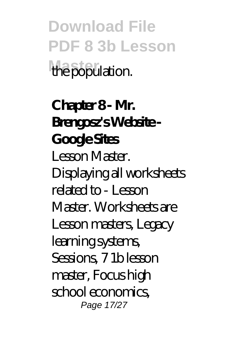**Download File PDF 8 3b Lesson** the population.

**Chapter 8 - Mr. Brengosz's Website - Google Sites** Lesson Master. Displaying all worksheets related to - Lesson Master. Worksheets are Lesson masters, Legacy learning systems, Sessions, 7 1b lesson master, Focus high school economics, Page 17/27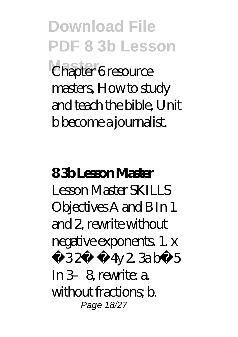**Download File PDF 8 3b Lesson** Chapter 6 resource masters, How to study and teach the bible, Unit b become a journalist.

## **8 3b Lesson Master**

Lesson Master SKILLS Objectives A and B In 1 and 2, rewrite without negative exponents. 1. x −3 2· −4y 2. 3a b−5 In 3–8, rewrite: a. without fractions; b. Page 18/27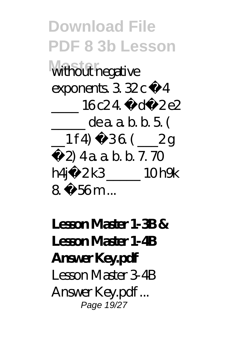**Download File PDF 8 3b Lesson** without negative exponents.  $3.32c - 4$  $16c24 - d - 2e2$ \_\_\_\_\_ de a. a. b. b. 5. (  $\_1$  f 4) – 36 ( $\_2$  g −2) 4 a. a. b. b. 7. 70 h4j−2 k3 \_\_\_\_\_ 10 h9k 8. – 56 m

**Lesson Master 1-3B & Lesson Master 1-4B Answer Key.pdf** Lesson Master 3-4B Answer Key.pdf ... Page 19/27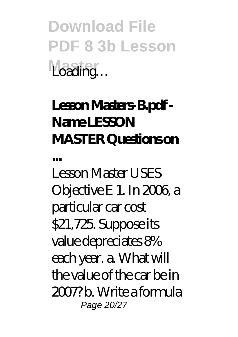**Download File PDF 8 3b Lesson** Loading…

### **Lesson Masters-B.pdf - Name LESSON MASTER Questions on**

**...** Lesson Master USES Objective E 1. In 2006, a particular car cost \$21,725. Suppose its value depreciates 8% each year. a. What will the value of the car be in 2007? b. Write a formula Page 20/27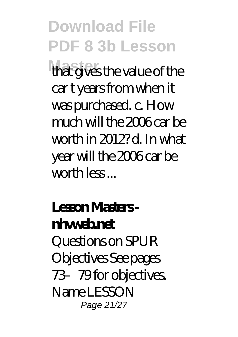**Download File PDF 8 3b Lesson** that gives the value of the car t years from when it was purchased. c. How much will the 2006 car be worth in 2012? d. In what year will the 2006 car be worth less ...

**Lesson Masters nhvweb.net** Questions on SPUR Objectives See pages 73–79 for objectives. Name LESSON Page 21/27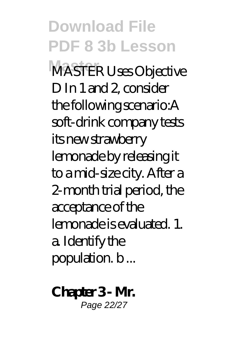**Download File PDF 8 3b Lesson Master** MASTER Uses Objective D In 1 and 2, consider the following scenario:A soft-drink company tests its new strawberry lemonade by releasing it to a mid-size city. After a 2-month trial period, the acceptance of the lemonade is evaluated. 1. a. Identify the population. b ...

**Chapter 3 - Mr.** Page 22/27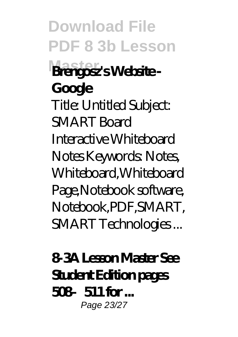**Download File PDF 8 3b Lesson Brengosz's Website -Google** Title: Untitled Subject: SMART Board Interactive Whiteboard Notes Keywords: Notes, Whiteboard,Whiteboard Page,Notebook software, Notebook,PDF,SMART, SMART Technologies ...

**8-3A Lesson Master See Student Edition pages 508–511 for ...** Page 23/27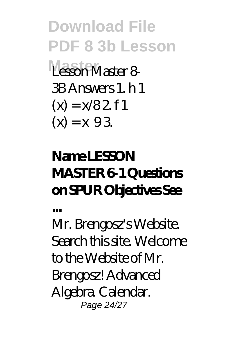**Download File PDF 8 3b Lesson Master** Lesson Master 8- 3B Answers 1. h 1  $(x) = x/82$  f 1  $(x) = x 93$ 

### **Name LESSON MASTER 6-1 Questions on SPUR Objectives See**

**...**

Mr. Brengosz's Website. Search this site. Welcome to the Website of Mr. Brengosz! Advanced Algebra. Calendar. Page 24/27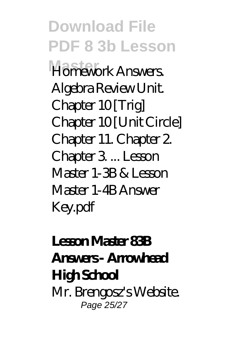**Download File PDF 8 3b Lesson Master** Homework Answers. Algebra Review Unit. Chapter 10 [Trig] Chapter 10 [Unit Circle] Chapter 11. Chapter 2. Chapter 3. ... Lesson Master 1-3B & Lesson Master 1-4B Answer Key.pdf

#### **Lesson Master 83B Answers - Arrowhead High School** Mr. Brengosz's Website. Page 25/27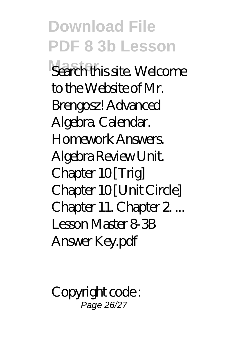**Download File PDF 8 3b Lesson Search this site. Welcome** to the Website of Mr. Brengosz! Advanced Algebra. Calendar. Homework Answers. Algebra Review Unit. Chapter 10 [Trig] Chapter 10 [Unit Circle] Chapter 11. Chapter 2. ... Lesson Master 8-3B Answer Key.pdf

Copyright code : Page 26/27